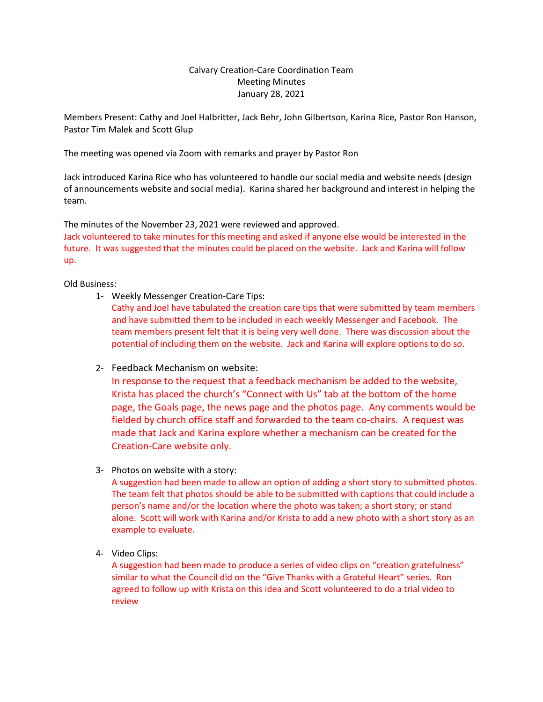## Calvary Creation-Care Coordination Team Meeting Minutes January 28, 2021

Members Present: Cathy and Joel Halbritter, Jack Behr, John Gilbertson, Karina Rice, Pastor Ron Hanson, Pastor Tim Malek and Scott Glup

The meeting was opened via Zoom with remarks and prayer by Pastor Ron

Jack introduced Karina Rice who has volunteered to handle our social media and website needs (design of announcements website and social media). Karina shared her background and interest in helping the team.

The minutes of the November 23, 2021 were reviewed and approved.

Jack volunteered to take minutes for this meeting and asked if anyone else would be interested in the future. It was suggested that the minutes could be placed on the website. Jack and Karina will follow up.

## Old Business:

1- Weekly Messenger Creation-Care Tips:

Cathy and Joel have tabulated the creation care tips that were submitted by team members and have submitted them to be included in each weekly Messenger and Facebook. The team members present felt that it is being very well done. There was discussion about the potential of including them on the website. Jack and Karina will explore options to do so.

2- Feedback Mechanism on website:

In response to the request that a feedback mechanism be added to the website, Krista has placed the church's "Connect with Us" tab at the bottom of the home page, the Goals page, the news page and the photos page. Any comments would be fielded by church office staff and forwarded to the team co-chairs. A request was made that Jack and Karina explore whether a mechanism can be created for the Creation-Care website only.

3- Photos on website with a story:

A suggestion had been made to allow an option of adding a short story to submitted photos. The team felt that photos should be able to be submitted with captions that could include a person's name and/or the location where the photo was taken; a short story; or stand alone. Scott will work with Karina and/or Krista to add a new photo with a short story as an example to evaluate.

4- Video Clips:

A suggestion had been made to produce a series of video clips on "creation gratefulness" similar to what the Council did on the "Give Thanks with a Grateful Heart" series. Ron agreed to follow up with Krista on this idea and Scott volunteered to do a trial video to review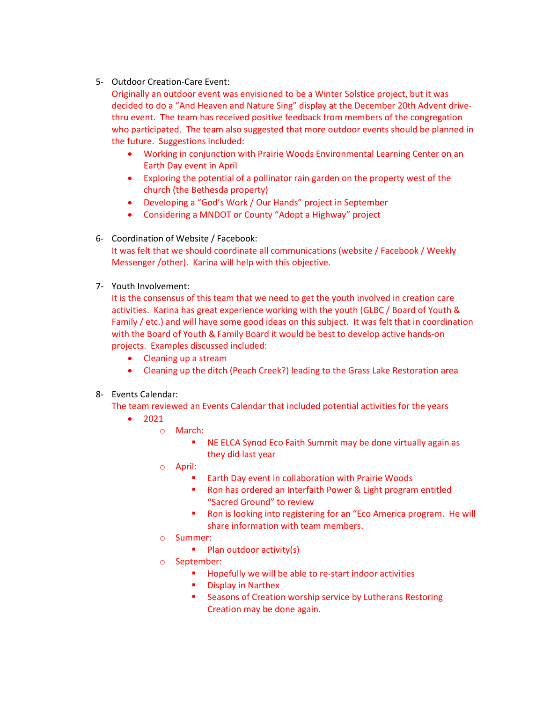5- Outdoor Creation-Care Event:

Originally an outdoor event was envisioned to be a Winter Solstice project, but it was decided to do a "And Heaven and Nature Sing" display at the December 20th Advent drivethru event. The team has received positive feedback from members of the congregation who participated. The team also suggested that more outdoor events should be planned in the future. Suggestions included:

- Working in conjunction with Prairie Woods Environmental Learning Center on an Earth Day event in April
- Exploring the potential of a pollinator rain garden on the property west of the church (the Bethesda property)
- Developing a "God's Work / Our Hands" project in September
- Considering a MNDOT or County "Adopt a Highway" project
- 6- Coordination of Website / Facebook: It was felt that we should coordinate all communications (website / Facebook / Weekly Messenger /other). Karina will help with this objective.
- 7- Youth Involvement:

It is the consensus of this team that we need to get the youth involved in creation care activities. Karina has great experience working with the youth (GLBC / Board of Youth & Family / etc.) and will have some good ideas on this subject. It was felt that in coordination with the Board of Youth & Family Board it would be best to develop active hands-on projects. Examples discussed included:

- Cleaning up a stream
- Cleaning up the ditch (Peach Creek?) leading to the Grass Lake Restoration area
- 8- Events Calendar:

The team reviewed an Events Calendar that included potential activities for the years

- 2021
	- o March:
		- NE ELCA Synod Eco Faith Summit may be done virtually again as they did last year
	- o April:
		- **Earth Day event in collaboration with Prairie Woods**
		- **Ron has ordered an Interfaith Power & Light program entitled** "Sacred Ground" to review
		- **Ron is looking into registering for an "Eco America program. He will** share information with team members.
	- o Summer:
		- $\blacksquare$  Plan outdoor activity(s)
	- o September:
		- **Hopefully we will be able to re-start indoor activities**
		- **•** Display in Narthex
		- **EXECT:** Seasons of Creation worship service by Lutherans Restoring Creation may be done again.